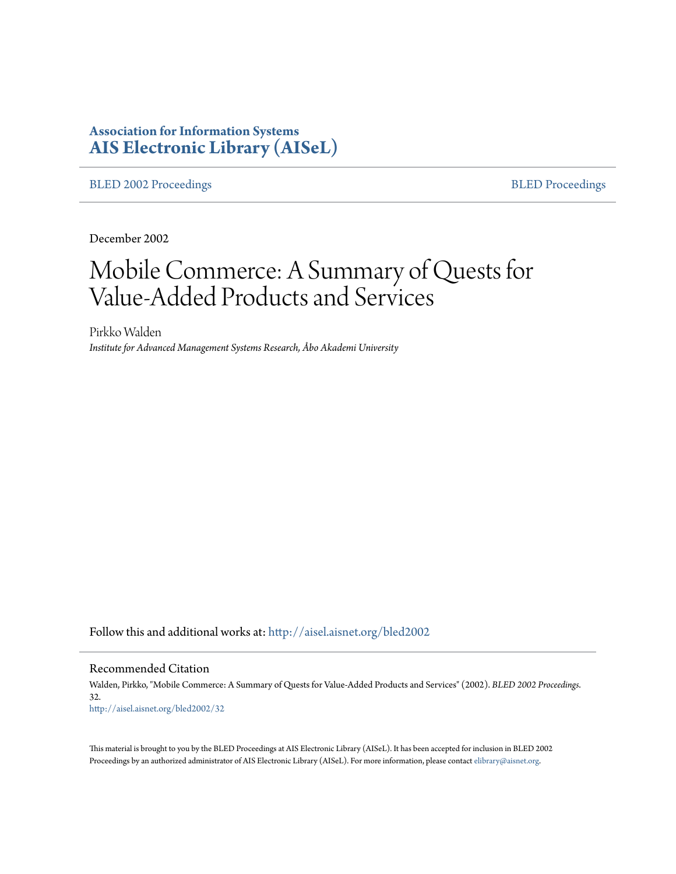# **Association for Information Systems [AIS Electronic Library \(AISeL\)](http://aisel.aisnet.org?utm_source=aisel.aisnet.org%2Fbled2002%2F32&utm_medium=PDF&utm_campaign=PDFCoverPages)**

[BLED 2002 Proceedings](http://aisel.aisnet.org/bled2002?utm_source=aisel.aisnet.org%2Fbled2002%2F32&utm_medium=PDF&utm_campaign=PDFCoverPages) **[BLED Proceedings](http://aisel.aisnet.org/bled?utm_source=aisel.aisnet.org%2Fbled2002%2F32&utm_medium=PDF&utm_campaign=PDFCoverPages)** 

December 2002

# Mobile Commerce: A Summary of Quests for Value-Added Products and Services

Pirkko Walden *Institute for Advanced Management Systems Research, Åbo Akademi University*

Follow this and additional works at: [http://aisel.aisnet.org/bled2002](http://aisel.aisnet.org/bled2002?utm_source=aisel.aisnet.org%2Fbled2002%2F32&utm_medium=PDF&utm_campaign=PDFCoverPages)

Recommended Citation

Walden, Pirkko, "Mobile Commerce: A Summary of Quests for Value-Added Products and Services" (2002). *BLED 2002 Proceedings*. 32. [http://aisel.aisnet.org/bled2002/32](http://aisel.aisnet.org/bled2002/32?utm_source=aisel.aisnet.org%2Fbled2002%2F32&utm_medium=PDF&utm_campaign=PDFCoverPages)

This material is brought to you by the BLED Proceedings at AIS Electronic Library (AISeL). It has been accepted for inclusion in BLED 2002 Proceedings by an authorized administrator of AIS Electronic Library (AISeL). For more information, please contact [elibrary@aisnet.org](mailto:elibrary@aisnet.org%3E).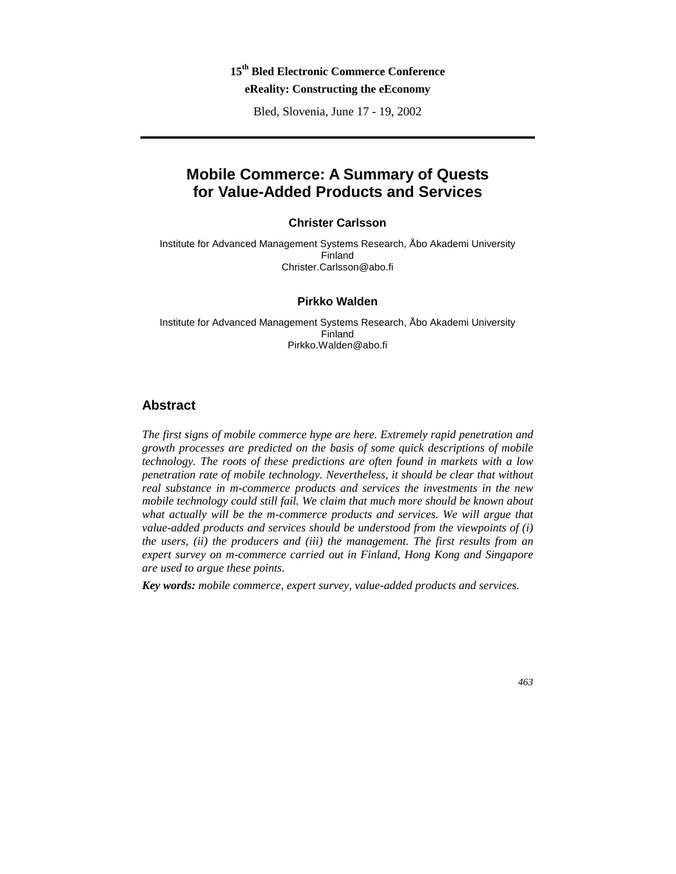# **15th Bled Electronic Commerce Conference**

**eReality: Constructing the eEconomy** 

Bled, Slovenia, June 17 - 19, 2002

# **Mobile Commerce: A Summary of Quests for Value-Added Products and Services**

#### **Christer Carlsson**

Institute for Advanced Management Systems Research, Åbo Akademi University Finland Christer.Carlsson@abo.fi

#### **Pirkko Walden**

Institute for Advanced Management Systems Research, Åbo Akademi University Finland Pirkko.Walden@abo.fi

### **Abstract**

*The first signs of mobile commerce hype are here. Extremely rapid penetration and growth processes are predicted on the basis of some quick descriptions of mobile technology. The roots of these predictions are often found in markets with a low penetration rate of mobile technology. Nevertheless, it should be clear that without real substance in m-commerce products and services the investments in the new mobile technology could still fail. We claim that much more should be known about* what actually will be the m-commerce products and services. We will argue that *value-added products and services should be understood from the viewpoints of (i) the users, (ii) the producers and (iii) the management. The first results from an expert survey on m-commerce carried out in Finland, Hong Kong and Singapore are used to argue these points.* 

*Key words: mobile commerce, expert survey, value-added products and services.*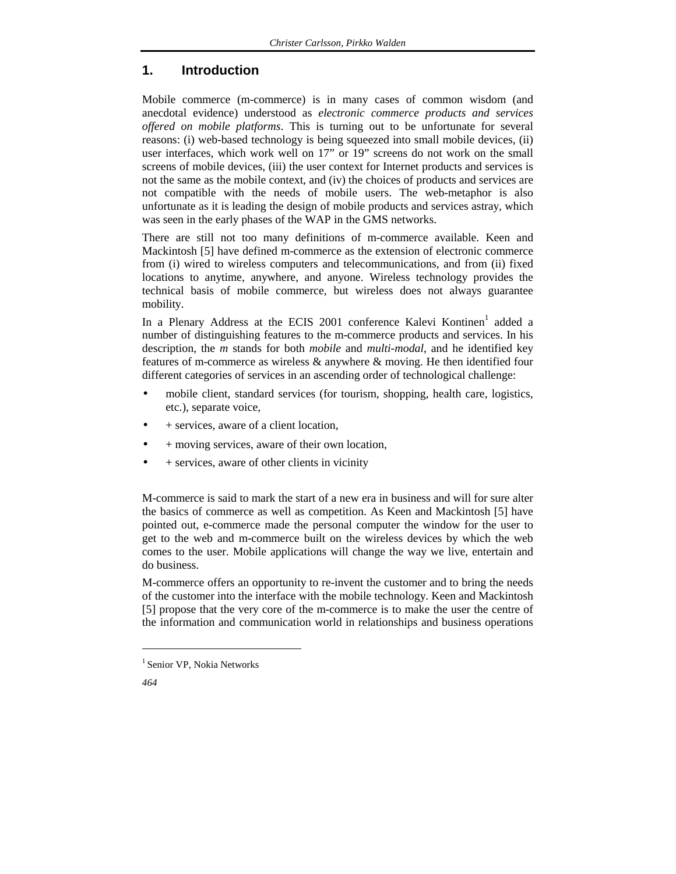# **1. Introduction**

Mobile commerce (m-commerce) is in many cases of common wisdom (and anecdotal evidence) understood as *electronic commerce products and services offered on mobile platforms*. This is turning out to be unfortunate for several reasons: (i) web-based technology is being squeezed into small mobile devices, (ii) user interfaces, which work well on 17" or 19" screens do not work on the small screens of mobile devices, (iii) the user context for Internet products and services is not the same as the mobile context, and (iv) the choices of products and services are not compatible with the needs of mobile users. The web-metaphor is also unfortunate as it is leading the design of mobile products and services astray, which was seen in the early phases of the WAP in the GMS networks.

There are still not too many definitions of m-commerce available. Keen and Mackintosh [5] have defined m-commerce as the extension of electronic commerce from (i) wired to wireless computers and telecommunications, and from (ii) fixed locations to anytime, anywhere, and anyone. Wireless technology provides the technical basis of mobile commerce, but wireless does not always guarantee mobility.

In a Plenary Address at the ECIS 2001 conference Kalevi Kontinen<sup>1</sup> added a number of distinguishing features to the m-commerce products and services. In his description, the *m* stands for both *mobile* and *multi-modal*, and he identified key features of m-commerce as wireless & anywhere & moving. He then identified four different categories of services in an ascending order of technological challenge:

- mobile client, standard services (for tourism, shopping, health care, logistics, etc.), separate voice,
- + services, aware of a client location,
- + moving services, aware of their own location,
- + services, aware of other clients in vicinity

M-commerce is said to mark the start of a new era in business and will for sure alter the basics of commerce as well as competition. As Keen and Mackintosh [5] have pointed out, e-commerce made the personal computer the window for the user to get to the web and m-commerce built on the wireless devices by which the web comes to the user. Mobile applications will change the way we live, entertain and do business.

M-commerce offers an opportunity to re-invent the customer and to bring the needs of the customer into the interface with the mobile technology. Keen and Mackintosh [5] propose that the very core of the m-commerce is to make the user the centre of the information and communication world in relationships and business operations

*464*

l

<sup>&</sup>lt;sup>1</sup> Senior VP, Nokia Networks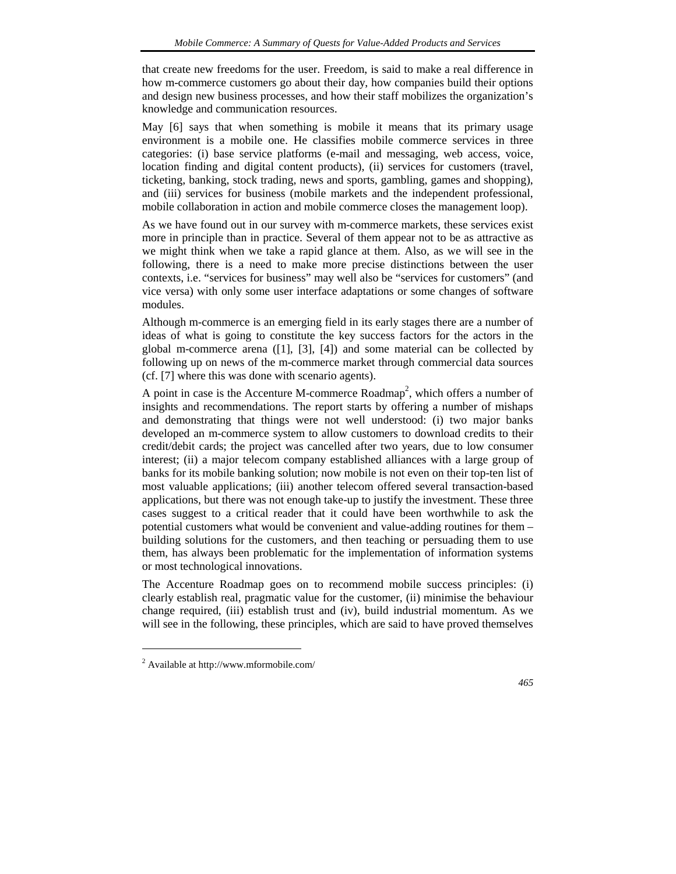that create new freedoms for the user. Freedom, is said to make a real difference in how m-commerce customers go about their day, how companies build their options and design new business processes, and how their staff mobilizes the organization's knowledge and communication resources.

May [6] says that when something is mobile it means that its primary usage environment is a mobile one. He classifies mobile commerce services in three categories: (i) base service platforms (e-mail and messaging, web access, voice, location finding and digital content products), (ii) services for customers (travel, ticketing, banking, stock trading, news and sports, gambling, games and shopping), and (iii) services for business (mobile markets and the independent professional, mobile collaboration in action and mobile commerce closes the management loop).

As we have found out in our survey with m-commerce markets, these services exist more in principle than in practice. Several of them appear not to be as attractive as we might think when we take a rapid glance at them. Also, as we will see in the following, there is a need to make more precise distinctions between the user contexts, i.e. "services for business" may well also be "services for customers" (and vice versa) with only some user interface adaptations or some changes of software modules.

Although m-commerce is an emerging field in its early stages there are a number of ideas of what is going to constitute the key success factors for the actors in the global m-commerce arena  $([1], [3], [4])$  and some material can be collected by following up on news of the m-commerce market through commercial data sources (cf. [7] where this was done with scenario agents).

A point in case is the Accenture M-commerce Roadmap<sup>2</sup>, which offers a number of insights and recommendations. The report starts by offering a number of mishaps and demonstrating that things were not well understood: (i) two major banks developed an m-commerce system to allow customers to download credits to their credit/debit cards; the project was cancelled after two years, due to low consumer interest; (ii) a major telecom company established alliances with a large group of banks for its mobile banking solution; now mobile is not even on their top-ten list of most valuable applications; (iii) another telecom offered several transaction-based applications, but there was not enough take-up to justify the investment. These three cases suggest to a critical reader that it could have been worthwhile to ask the potential customers what would be convenient and value-adding routines for them – building solutions for the customers, and then teaching or persuading them to use them, has always been problematic for the implementation of information systems or most technological innovations.

The Accenture Roadmap goes on to recommend mobile success principles: (i) clearly establish real, pragmatic value for the customer, (ii) minimise the behaviour change required, (iii) establish trust and (iv), build industrial momentum. As we will see in the following, these principles, which are said to have proved themselves

l

<sup>&</sup>lt;sup>2</sup> Available at http://www.mformobile.com/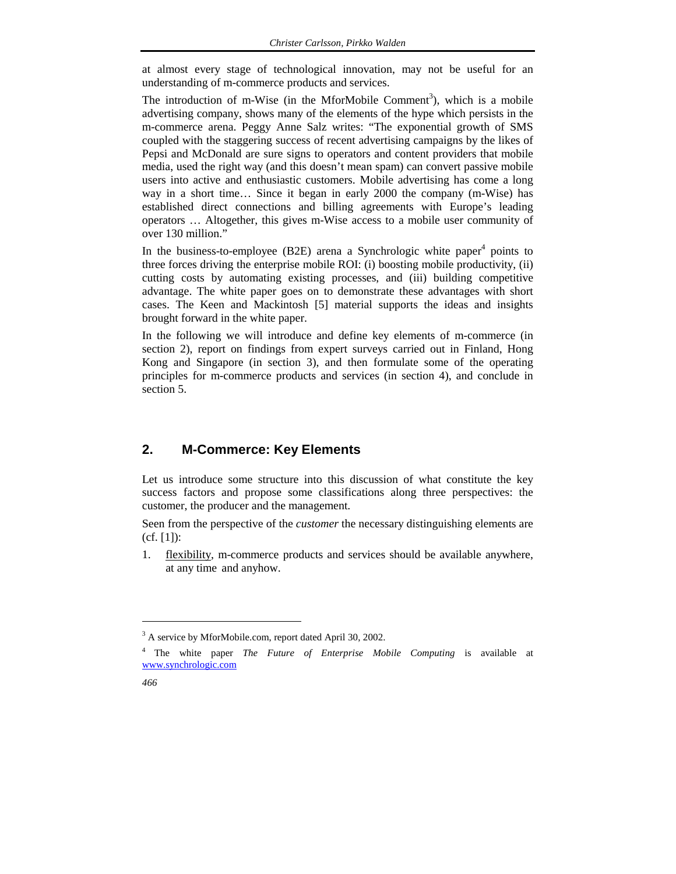at almost every stage of technological innovation, may not be useful for an understanding of m-commerce products and services.

The introduction of m-Wise (in the MforMobile Comment<sup>3</sup>), which is a mobile advertising company, shows many of the elements of the hype which persists in the m-commerce arena. Peggy Anne Salz writes: "The exponential growth of SMS coupled with the staggering success of recent advertising campaigns by the likes of Pepsi and McDonald are sure signs to operators and content providers that mobile media, used the right way (and this doesn't mean spam) can convert passive mobile users into active and enthusiastic customers. Mobile advertising has come a long way in a short time… Since it began in early 2000 the company (m-Wise) has established direct connections and billing agreements with Europe's leading operators … Altogether, this gives m-Wise access to a mobile user community of over 130 million."

In the business-to-employee (B2E) arena a Synchrologic white paper<sup>4</sup> points to three forces driving the enterprise mobile ROI: (i) boosting mobile productivity, (ii) cutting costs by automating existing processes, and (iii) building competitive advantage. The white paper goes on to demonstrate these advantages with short cases. The Keen and Mackintosh [5] material supports the ideas and insights brought forward in the white paper.

In the following we will introduce and define key elements of m-commerce (in section 2), report on findings from expert surveys carried out in Finland, Hong Kong and Singapore (in section 3), and then formulate some of the operating principles for m-commerce products and services (in section 4), and conclude in section 5.

## **2. M-Commerce: Key Elements**

Let us introduce some structure into this discussion of what constitute the key success factors and propose some classifications along three perspectives: the customer, the producer and the management.

Seen from the perspective of the *customer* the necessary distinguishing elements are (cf. [1]):

1. flexibility, m-commerce products and services should be available anywhere, at any time and anyhow.

<sup>4</sup> The white paper *The Future of Enterprise Mobile Computing* is available at www.synchrologic.com



 $\overline{a}$ 

<sup>&</sup>lt;sup>3</sup> A service by MforMobile.com, report dated April 30, 2002.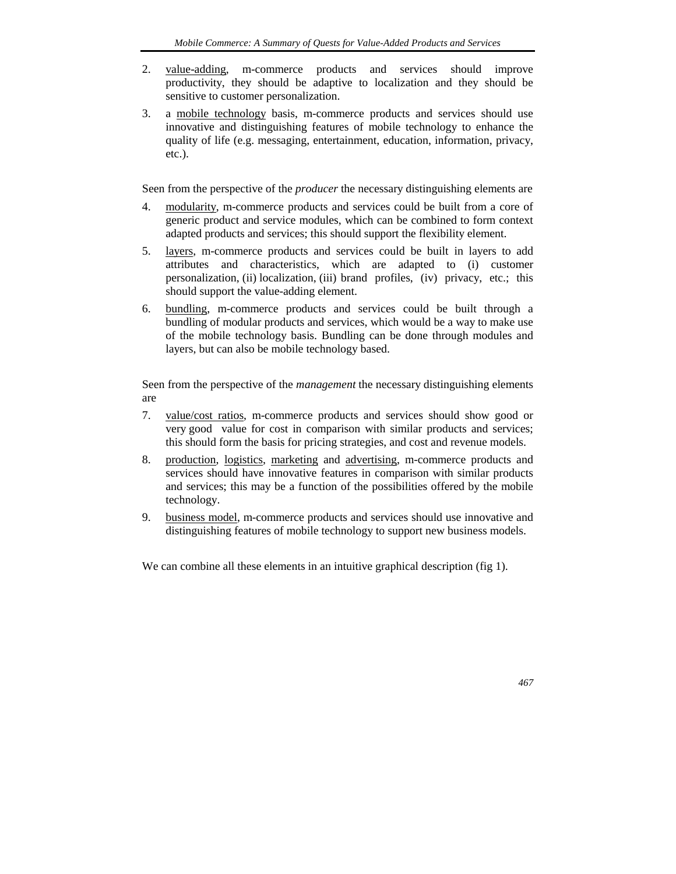- 2. value-adding, m-commerce products and services should improve productivity, they should be adaptive to localization and they should be sensitive to customer personalization.
- 3. a mobile technology basis, m-commerce products and services should use innovative and distinguishing features of mobile technology to enhance the quality of life (e.g. messaging, entertainment, education, information, privacy, etc.).

Seen from the perspective of the *producer* the necessary distinguishing elements are

- 4. modularity, m-commerce products and services could be built from a core of generic product and service modules, which can be combined to form context adapted products and services; this should support the flexibility element.
- 5. layers, m-commerce products and services could be built in layers to add attributes and characteristics, which are adapted to (i) customer personalization, (ii) localization, (iii) brand profiles, (iv) privacy, etc.; this should support the value-adding element.
- 6. bundling, m-commerce products and services could be built through a bundling of modular products and services, which would be a way to make use of the mobile technology basis. Bundling can be done through modules and layers, but can also be mobile technology based.

Seen from the perspective of the *management* the necessary distinguishing elements are

- 7. value/cost ratios, m-commerce products and services should show good or very good value for cost in comparison with similar products and services; this should form the basis for pricing strategies, and cost and revenue models.
- 8. production, logistics, marketing and advertising, m-commerce products and services should have innovative features in comparison with similar products and services; this may be a function of the possibilities offered by the mobile technology.
- 9. business model, m-commerce products and services should use innovative and distinguishing features of mobile technology to support new business models.

We can combine all these elements in an intuitive graphical description (fig 1).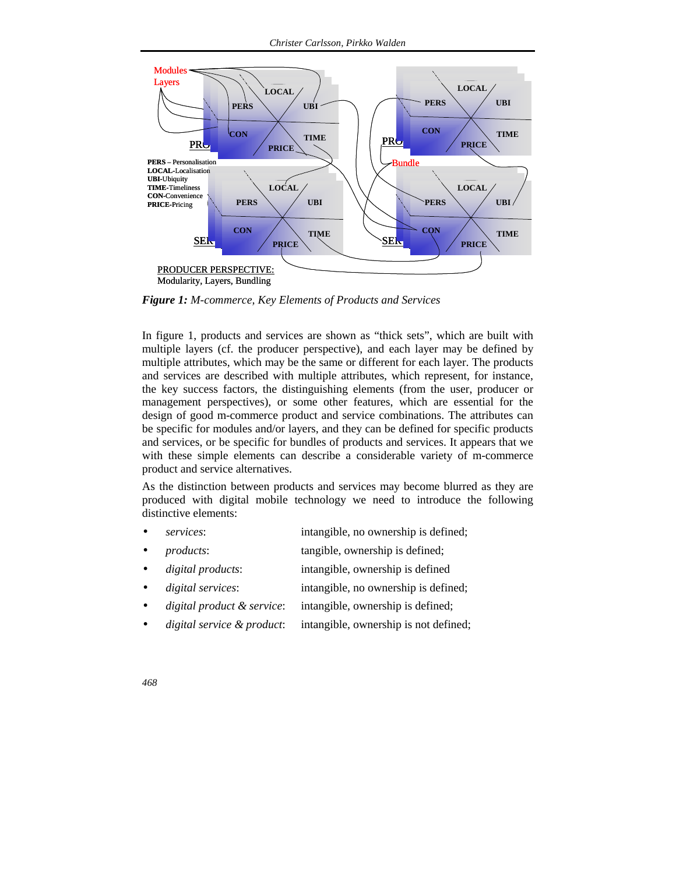

*Figure 1: M-commerce, Key Elements of Products and Services* 

In figure 1, products and services are shown as "thick sets", which are built with multiple layers (cf. the producer perspective), and each layer may be defined by multiple attributes, which may be the same or different for each layer. The products and services are described with multiple attributes, which represent, for instance, the key success factors, the distinguishing elements (from the user, producer or management perspectives), or some other features, which are essential for the design of good m-commerce product and service combinations. The attributes can be specific for modules and/or layers, and they can be defined for specific products and services, or be specific for bundles of products and services. It appears that we with these simple elements can describe a considerable variety of m-commerce product and service alternatives.

As the distinction between products and services may become blurred as they are produced with digital mobile technology we need to introduce the following distinctive elements:

- services: intangible, no ownership is defined;
- *products*: tangible, ownership is defined;
- *digital products*: intangible, ownership is defined
- *digital services*: intangible, no ownership is defined;
- *digital product & service*: intangible, ownership is defined;
- *digital service & product*: intangible, ownership is not defined;
- *468*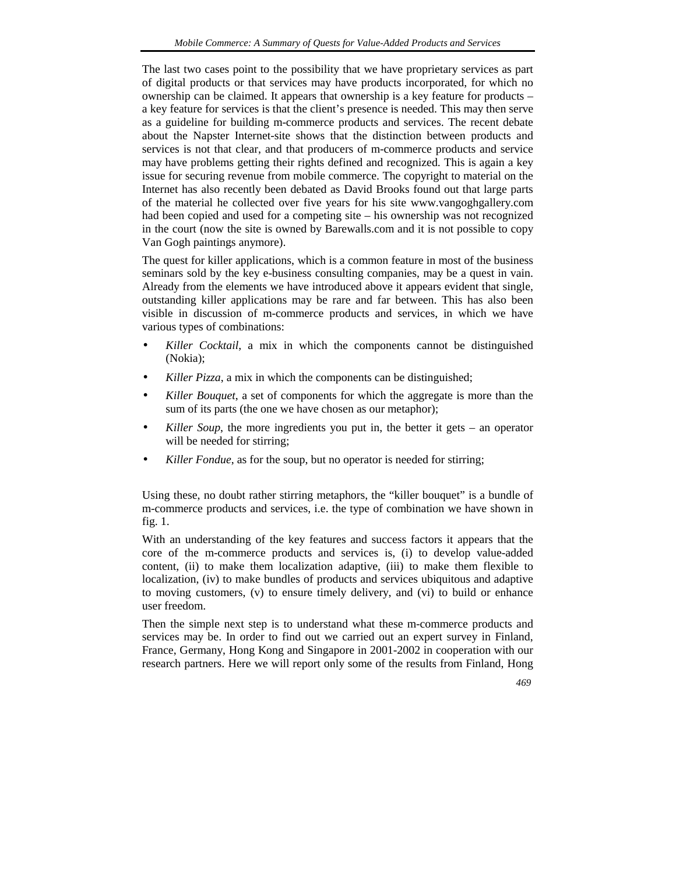The last two cases point to the possibility that we have proprietary services as part of digital products or that services may have products incorporated, for which no ownership can be claimed. It appears that ownership is a key feature for products – a key feature for services is that the client's presence is needed. This may then serve as a guideline for building m-commerce products and services. The recent debate about the Napster Internet-site shows that the distinction between products and services is not that clear, and that producers of m-commerce products and service may have problems getting their rights defined and recognized. This is again a key issue for securing revenue from mobile commerce. The copyright to material on the Internet has also recently been debated as David Brooks found out that large parts of the material he collected over five years for his site www.vangoghgallery.com had been copied and used for a competing site – his ownership was not recognized in the court (now the site is owned by Barewalls.com and it is not possible to copy Van Gogh paintings anymore).

The quest for killer applications, which is a common feature in most of the business seminars sold by the key e-business consulting companies, may be a quest in vain. Already from the elements we have introduced above it appears evident that single, outstanding killer applications may be rare and far between. This has also been visible in discussion of m-commerce products and services, in which we have various types of combinations:

- *Killer Cocktail*, a mix in which the components cannot be distinguished (Nokia);
- *Killer Pizza*, a mix in which the components can be distinguished;
- *Killer Bouquet*, a set of components for which the aggregate is more than the sum of its parts (the one we have chosen as our metaphor);
- *Killer Soup*, the more ingredients you put in, the better it gets an operator will be needed for stirring;
- Killer Fondue, as for the soup, but no operator is needed for stirring;

Using these, no doubt rather stirring metaphors, the "killer bouquet" is a bundle of m-commerce products and services, i.e. the type of combination we have shown in fig. 1.

With an understanding of the key features and success factors it appears that the core of the m-commerce products and services is, (i) to develop value-added content, (ii) to make them localization adaptive, (iii) to make them flexible to localization, (iv) to make bundles of products and services ubiquitous and adaptive to moving customers, (v) to ensure timely delivery, and (vi) to build or enhance user freedom.

Then the simple next step is to understand what these m-commerce products and services may be. In order to find out we carried out an expert survey in Finland, France, Germany, Hong Kong and Singapore in 2001-2002 in cooperation with our research partners. Here we will report only some of the results from Finland, Hong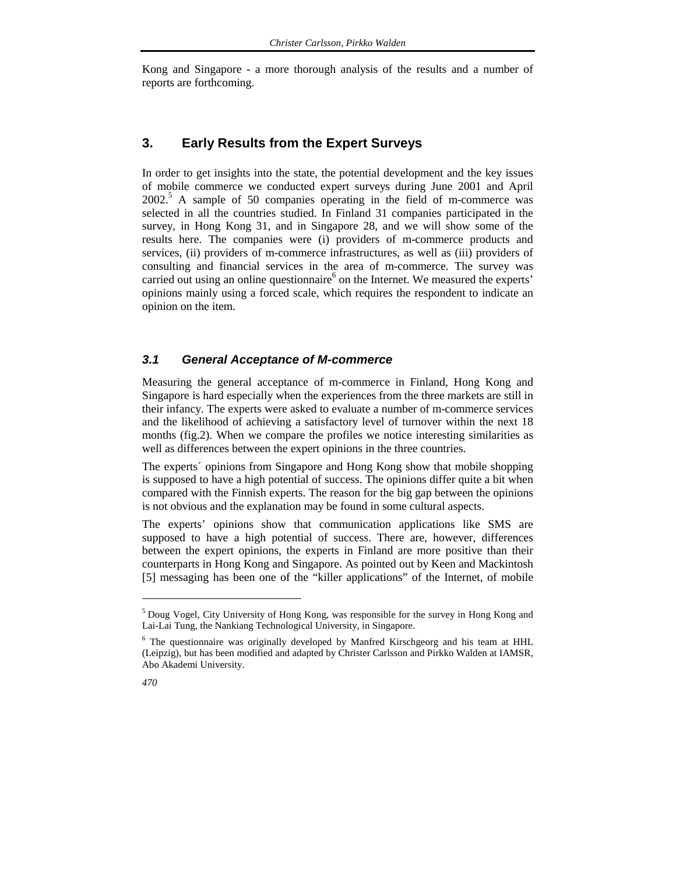Kong and Singapore - a more thorough analysis of the results and a number of reports are forthcoming.

#### **3. Early Results from the Expert Surveys**

In order to get insights into the state, the potential development and the key issues of mobile commerce we conducted expert surveys during June 2001 and April 2002.<sup>5</sup> A sample of 50 companies operating in the field of m-commerce was selected in all the countries studied. In Finland 31 companies participated in the survey, in Hong Kong 31, and in Singapore 28, and we will show some of the results here. The companies were (i) providers of m-commerce products and services, (ii) providers of m-commerce infrastructures, as well as (iii) providers of consulting and financial services in the area of m-commerce. The survey was carried out using an online questionnaire<sup>6</sup> on the Internet. We measured the experts' opinions mainly using a forced scale, which requires the respondent to indicate an opinion on the item.

## *3.1 General Acceptance of M-commerce*

Measuring the general acceptance of m-commerce in Finland, Hong Kong and Singapore is hard especially when the experiences from the three markets are still in their infancy. The experts were asked to evaluate a number of m-commerce services and the likelihood of achieving a satisfactory level of turnover within the next 18 months (fig.2). When we compare the profiles we notice interesting similarities as well as differences between the expert opinions in the three countries.

The experts´ opinions from Singapore and Hong Kong show that mobile shopping is supposed to have a high potential of success. The opinions differ quite a bit when compared with the Finnish experts. The reason for the big gap between the opinions is not obvious and the explanation may be found in some cultural aspects.

The experts' opinions show that communication applications like SMS are supposed to have a high potential of success. There are, however, differences between the expert opinions, the experts in Finland are more positive than their counterparts in Hong Kong and Singapore. As pointed out by Keen and Mackintosh [5] messaging has been one of the "killer applications" of the Internet, of mobile

<sup>&</sup>lt;sup>6</sup> The questionnaire was originally developed by Manfred Kirschgeorg and his team at HHL (Leipzig), but has been modified and adapted by Christer Carlsson and Pirkko Walden at IAMSR, Abo Akademi University.



 $\overline{a}$ 

<sup>5</sup> Doug Vogel, City University of Hong Kong, was responsible for the survey in Hong Kong and Lai-Lai Tung, the Nankiang Technological University, in Singapore.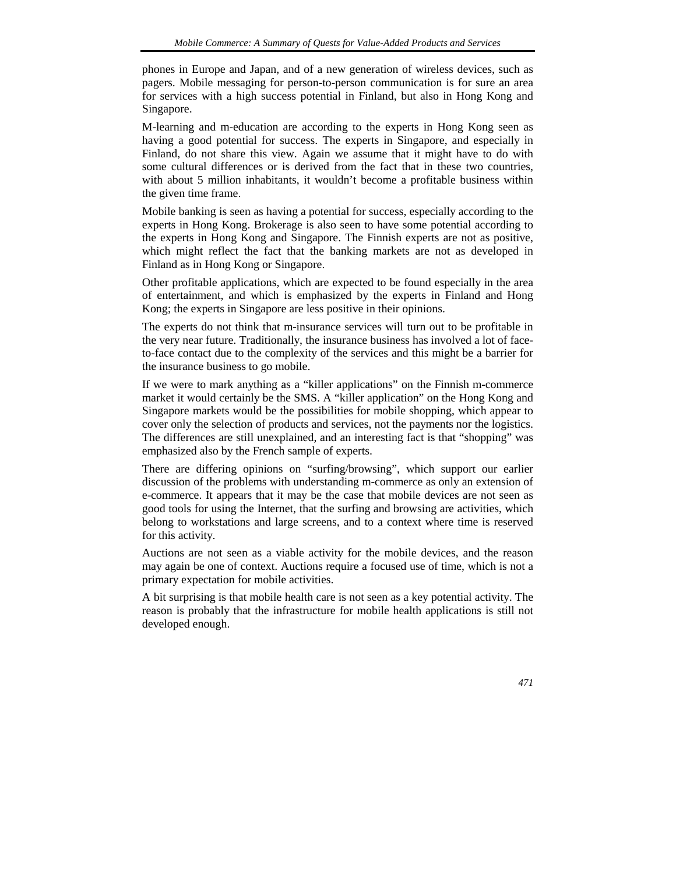phones in Europe and Japan, and of a new generation of wireless devices, such as pagers. Mobile messaging for person-to-person communication is for sure an area for services with a high success potential in Finland, but also in Hong Kong and Singapore.

M-learning and m-education are according to the experts in Hong Kong seen as having a good potential for success. The experts in Singapore, and especially in Finland, do not share this view. Again we assume that it might have to do with some cultural differences or is derived from the fact that in these two countries, with about 5 million inhabitants, it wouldn't become a profitable business within the given time frame.

Mobile banking is seen as having a potential for success, especially according to the experts in Hong Kong. Brokerage is also seen to have some potential according to the experts in Hong Kong and Singapore. The Finnish experts are not as positive, which might reflect the fact that the banking markets are not as developed in Finland as in Hong Kong or Singapore.

Other profitable applications, which are expected to be found especially in the area of entertainment, and which is emphasized by the experts in Finland and Hong Kong; the experts in Singapore are less positive in their opinions.

The experts do not think that m-insurance services will turn out to be profitable in the very near future. Traditionally, the insurance business has involved a lot of faceto-face contact due to the complexity of the services and this might be a barrier for the insurance business to go mobile.

If we were to mark anything as a "killer applications" on the Finnish m-commerce market it would certainly be the SMS. A "killer application" on the Hong Kong and Singapore markets would be the possibilities for mobile shopping, which appear to cover only the selection of products and services, not the payments nor the logistics. The differences are still unexplained, and an interesting fact is that "shopping" was emphasized also by the French sample of experts.

There are differing opinions on "surfing/browsing", which support our earlier discussion of the problems with understanding m-commerce as only an extension of e-commerce. It appears that it may be the case that mobile devices are not seen as good tools for using the Internet, that the surfing and browsing are activities, which belong to workstations and large screens, and to a context where time is reserved for this activity.

Auctions are not seen as a viable activity for the mobile devices, and the reason may again be one of context. Auctions require a focused use of time, which is not a primary expectation for mobile activities.

A bit surprising is that mobile health care is not seen as a key potential activity. The reason is probably that the infrastructure for mobile health applications is still not developed enough.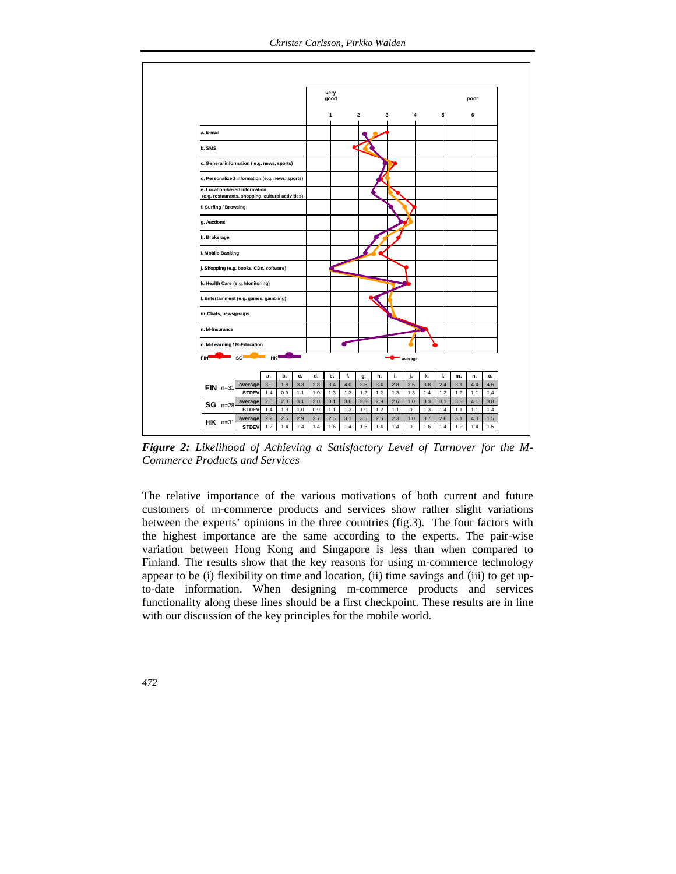

*Figure 2: Likelihood of Achieving a Satisfactory Level of Turnover for the M-Commerce Products and Services* 

The relative importance of the various motivations of both current and future customers of m-commerce products and services show rather slight variations between the experts' opinions in the three countries (fig.3). The four factors with the highest importance are the same according to the experts. The pair-wise variation between Hong Kong and Singapore is less than when compared to Finland. The results show that the key reasons for using m-commerce technology appear to be (i) flexibility on time and location, (ii) time savings and (iii) to get upto-date information. When designing m-commerce products and services functionality along these lines should be a first checkpoint. These results are in line with our discussion of the key principles for the mobile world.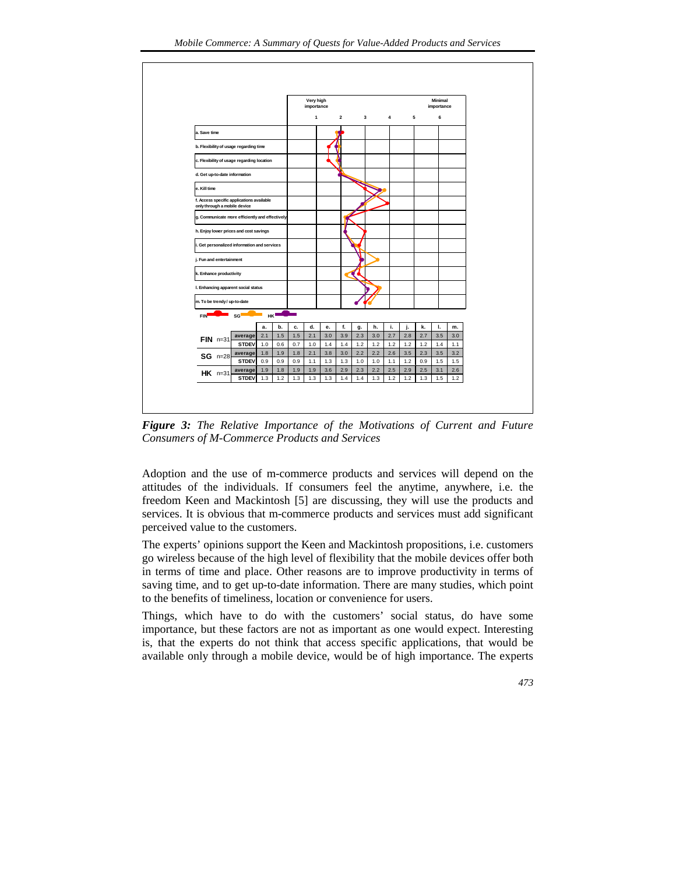

*Figure 3: The Relative Importance of the Motivations of Current and Future Consumers of M-Commerce Products and Services* 

Adoption and the use of m-commerce products and services will depend on the attitudes of the individuals. If consumers feel the anytime, anywhere, i.e. the freedom Keen and Mackintosh [5] are discussing, they will use the products and services. It is obvious that m-commerce products and services must add significant perceived value to the customers.

The experts' opinions support the Keen and Mackintosh propositions, i.e. customers go wireless because of the high level of flexibility that the mobile devices offer both in terms of time and place. Other reasons are to improve productivity in terms of saving time, and to get up-to-date information. There are many studies, which point to the benefits of timeliness, location or convenience for users.

Things, which have to do with the customers' social status, do have some importance, but these factors are not as important as one would expect. Interesting is, that the experts do not think that access specific applications, that would be available only through a mobile device, would be of high importance. The experts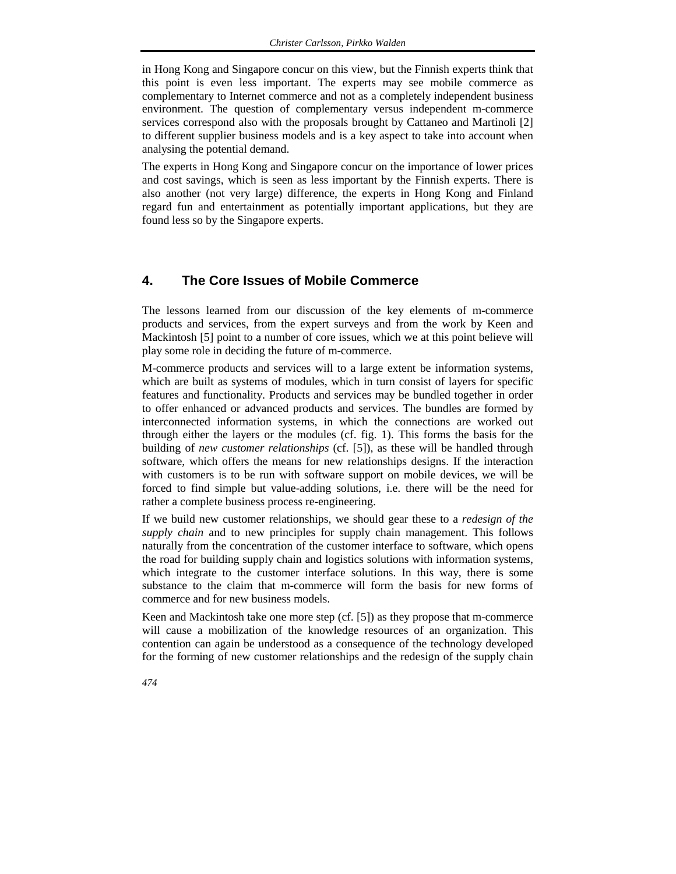in Hong Kong and Singapore concur on this view, but the Finnish experts think that this point is even less important. The experts may see mobile commerce as complementary to Internet commerce and not as a completely independent business environment. The question of complementary versus independent m-commerce services correspond also with the proposals brought by Cattaneo and Martinoli [2] to different supplier business models and is a key aspect to take into account when analysing the potential demand.

The experts in Hong Kong and Singapore concur on the importance of lower prices and cost savings, which is seen as less important by the Finnish experts. There is also another (not very large) difference, the experts in Hong Kong and Finland regard fun and entertainment as potentially important applications, but they are found less so by the Singapore experts.

### **4. The Core Issues of Mobile Commerce**

The lessons learned from our discussion of the key elements of m-commerce products and services, from the expert surveys and from the work by Keen and Mackintosh [5] point to a number of core issues, which we at this point believe will play some role in deciding the future of m-commerce.

M-commerce products and services will to a large extent be information systems, which are built as systems of modules, which in turn consist of layers for specific features and functionality. Products and services may be bundled together in order to offer enhanced or advanced products and services. The bundles are formed by interconnected information systems, in which the connections are worked out through either the layers or the modules (cf. fig. 1). This forms the basis for the building of *new customer relationships* (cf. [5]), as these will be handled through software, which offers the means for new relationships designs. If the interaction with customers is to be run with software support on mobile devices, we will be forced to find simple but value-adding solutions, i.e. there will be the need for rather a complete business process re-engineering.

If we build new customer relationships, we should gear these to a *redesign of the supply chain* and to new principles for supply chain management. This follows naturally from the concentration of the customer interface to software, which opens the road for building supply chain and logistics solutions with information systems, which integrate to the customer interface solutions. In this way, there is some substance to the claim that m-commerce will form the basis for new forms of commerce and for new business models.

Keen and Mackintosh take one more step (cf. [5]) as they propose that m-commerce will cause a mobilization of the knowledge resources of an organization. This contention can again be understood as a consequence of the technology developed for the forming of new customer relationships and the redesign of the supply chain

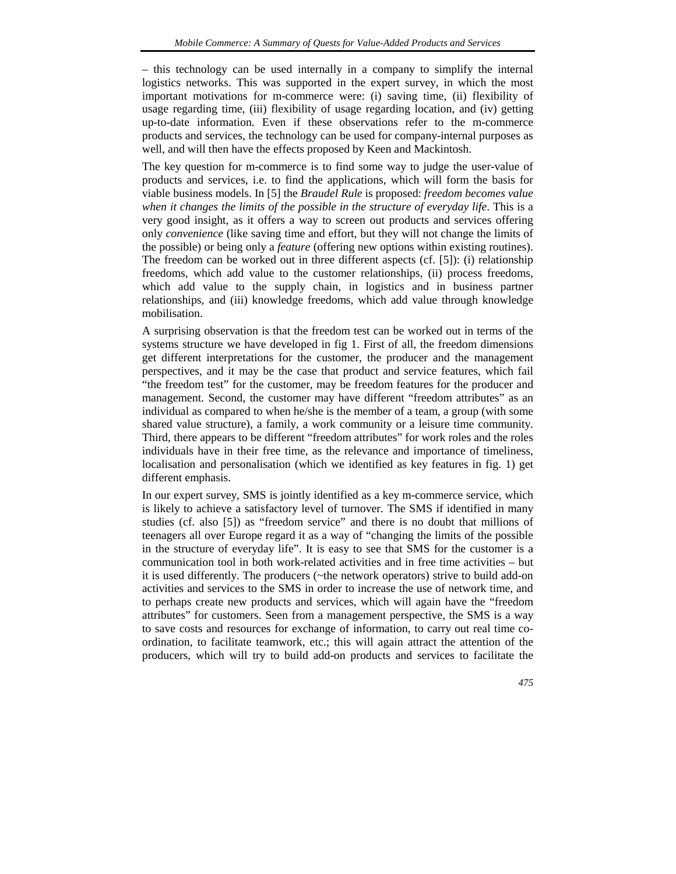– this technology can be used internally in a company to simplify the internal logistics networks. This was supported in the expert survey, in which the most important motivations for m-commerce were: (i) saving time, (ii) flexibility of usage regarding time, (iii) flexibility of usage regarding location, and (iv) getting up-to-date information. Even if these observations refer to the m-commerce products and services, the technology can be used for company-internal purposes as well, and will then have the effects proposed by Keen and Mackintosh.

The key question for m-commerce is to find some way to judge the user-value of products and services, i.e. to find the applications, which will form the basis for viable business models. In [5] the *Braudel Rule* is proposed: *freedom becomes value when it changes the limits of the possible in the structure of everyday life*. This is a very good insight, as it offers a way to screen out products and services offering only *convenience* (like saving time and effort, but they will not change the limits of the possible) or being only a *feature* (offering new options within existing routines). The freedom can be worked out in three different aspects (cf. [5]): (i) relationship freedoms, which add value to the customer relationships, (ii) process freedoms, which add value to the supply chain, in logistics and in business partner relationships, and (iii) knowledge freedoms, which add value through knowledge mobilisation.

A surprising observation is that the freedom test can be worked out in terms of the systems structure we have developed in fig 1. First of all, the freedom dimensions get different interpretations for the customer, the producer and the management perspectives, and it may be the case that product and service features, which fail "the freedom test" for the customer, may be freedom features for the producer and management. Second, the customer may have different "freedom attributes" as an individual as compared to when he/she is the member of a team, a group (with some shared value structure), a family, a work community or a leisure time community. Third, there appears to be different "freedom attributes" for work roles and the roles individuals have in their free time, as the relevance and importance of timeliness, localisation and personalisation (which we identified as key features in fig. 1) get different emphasis.

In our expert survey, SMS is jointly identified as a key m-commerce service, which is likely to achieve a satisfactory level of turnover. The SMS if identified in many studies (cf. also [5]) as "freedom service" and there is no doubt that millions of teenagers all over Europe regard it as a way of "changing the limits of the possible in the structure of everyday life". It is easy to see that SMS for the customer is a communication tool in both work-related activities and in free time activities – but it is used differently. The producers (~the network operators) strive to build add-on activities and services to the SMS in order to increase the use of network time, and to perhaps create new products and services, which will again have the "freedom attributes" for customers. Seen from a management perspective, the SMS is a way to save costs and resources for exchange of information, to carry out real time coordination, to facilitate teamwork, etc.; this will again attract the attention of the producers, which will try to build add-on products and services to facilitate the